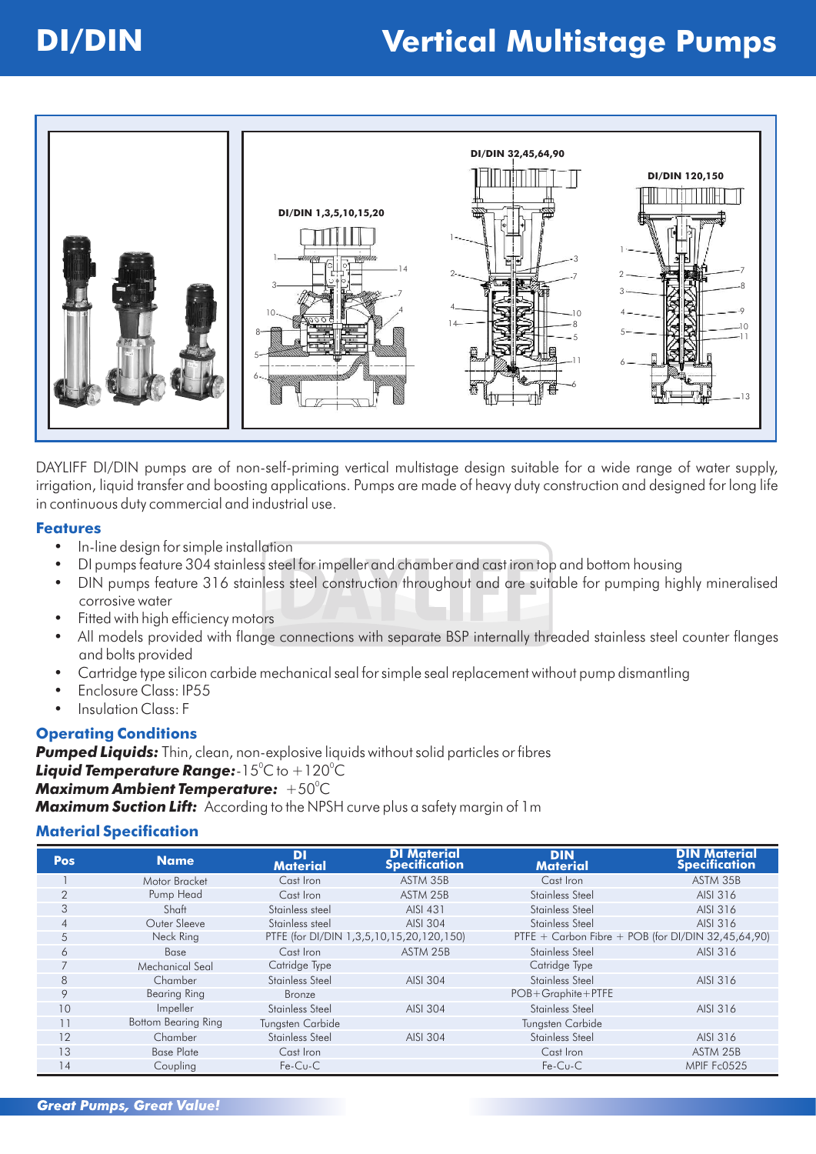### **DI/DIN Vertical Multistage Pumps**



DAYLIFF DI/DIN pumps are of non-self-priming vertical multistage design suitable for a wide range of water supply, irrigation, liquid transfer and boosting applications. Pumps are made of heavy duty construction and designed for long life in continuous duty commercial and industrial use.

#### **Features**

- In-line design for simple installation
- DI pumps feature 304 stainless steel for impeller and chamber and cast iron top and bottom housing
- DIN pumps feature 316 stainless steel construction throughout and are suitable for pumping highly mineralised corrosive water
- Fitted with high efficiency motors
- All models provided with flange connections with separate BSP internally threaded stainless steel counter flanges and bolts provided
- Cartridge type silicon carbide mechanical seal for simple seal replacement without pump dismantling
- Enclosure Class: IP55
- Insulation Class: F

#### **Operating Conditions**

**Pumped Liquids:** Thin, clean, non-explosive liquids without solid particles or fibres **Liquid Temperature Range:**-15°C to +120°C

### <sup>0</sup> *Maximum Ambient Temperature:* +50 C

*Maximum Suction Lift:* According to the NPSH curve plus a safety margin of 1m

#### **Material Specification**

| Pos            | <b>Name</b>                | <b>DI</b><br><b>Material</b> | <b>DI Material</b><br><b>Specification</b> | <b>DIN</b><br><b>Material</b> | <b>DIN Material</b><br><b>Specification</b>        |
|----------------|----------------------------|------------------------------|--------------------------------------------|-------------------------------|----------------------------------------------------|
|                | Motor Bracket              | Cast Iron                    | ASTM 35B                                   | Cast Iron                     | ASTM 35B                                           |
| $\overline{2}$ | Pump Head                  | Cast Iron                    | ASTM 25B                                   | Stainless Steel               | AISI 316                                           |
| 3              | Shaft                      | Stainless steel              | AISI 431                                   | Stainless Steel               | AISI 316                                           |
| $\overline{4}$ | Outer Sleeve               | Stainless steel              | AISI 304                                   | Stainless Steel               | AISI 316                                           |
| 5              | Neck Ring                  |                              | PTFE (for DI/DIN 1,3,5,10,15,20,120,150)   |                               | PTFE + Carbon Fibre + POB (for DI/DIN 32,45,64,90) |
| 6              | <b>Base</b>                | Cast Iron                    | ASTM 25B                                   | Stainless Steel               | AISI 316                                           |
| $\overline{7}$ | Mechanical Seal            | Catridge Type                |                                            | Catridge Type                 |                                                    |
| 8              | Chamber                    | Stainless Steel              | AISI 304                                   | Stainless Steel               | AISI 316                                           |
| 9              | <b>Bearing Ring</b>        | Bronze                       |                                            | $POB + Graphite + PTFE$       |                                                    |
| 10             | <i>Impeller</i>            | Stainless Steel              | AISI 304                                   | Stainless Steel               | AISI 316                                           |
| 11             | <b>Bottom Bearing Ring</b> | Tungsten Carbide             |                                            | Tungsten Carbide              |                                                    |
| 12             | Chamber                    | Stainless Steel              | AISI 304                                   | Stainless Steel               | AISI 316                                           |
| 13             | <b>Base Plate</b>          | Cast Iron                    |                                            | Cast Iron                     | ASTM 25B                                           |
| 14             | Coupling                   | $Fe-Cu-C$                    |                                            | $Fe-Cu-C$                     | MPIF Fc0525                                        |